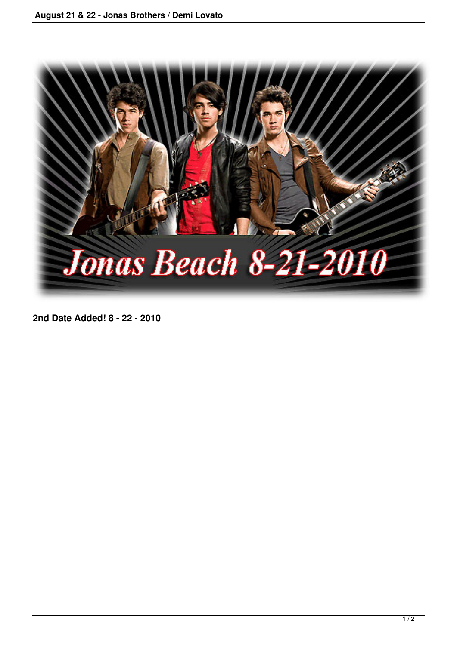

**2nd Date Added! 8 - 22 - 2010**